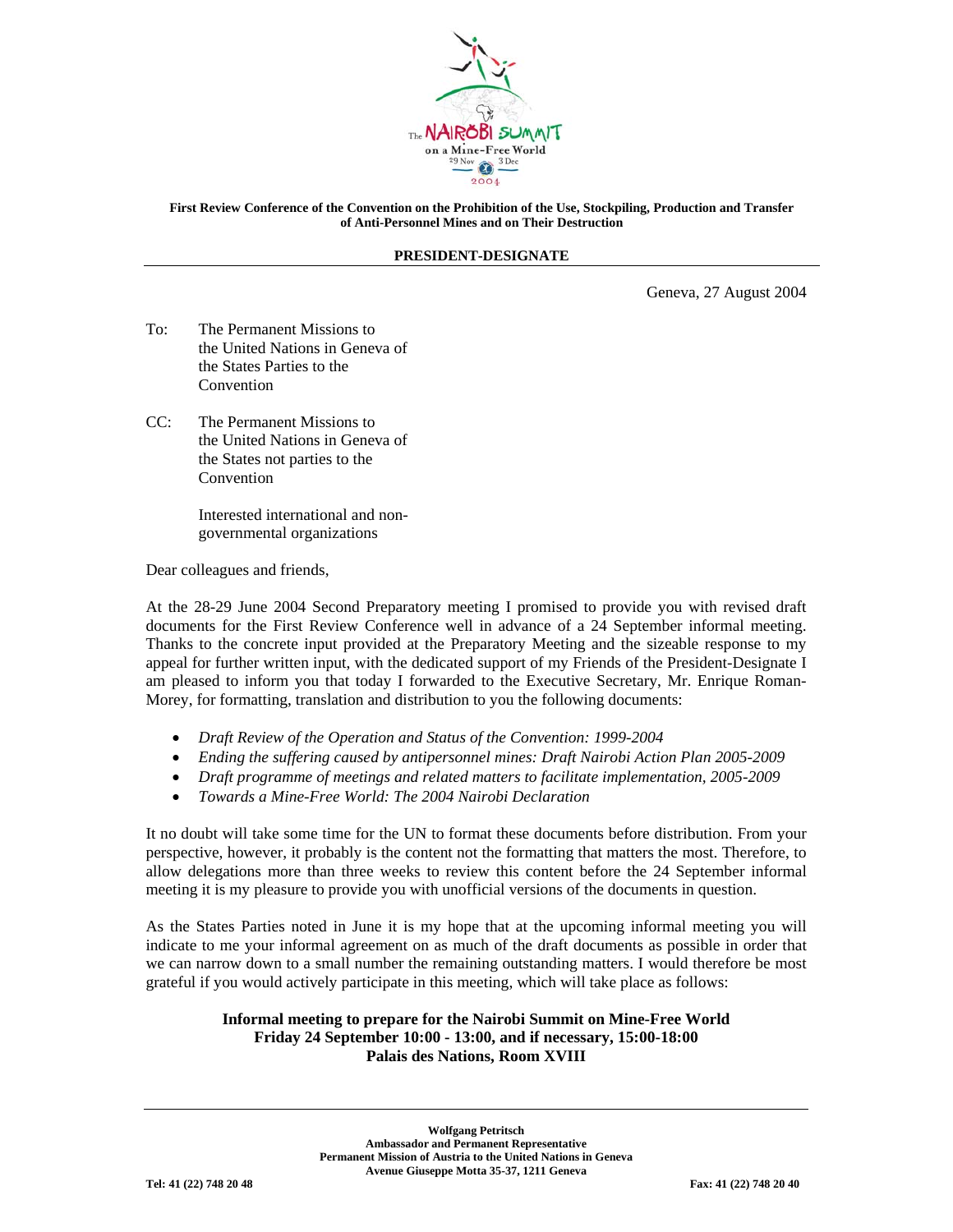

## **First Review Conference of the Convention on the Prohibition of the Use, Stockpiling, Production and Transfer of Anti-Personnel Mines and on Their Destruction**

## **PRESIDENT-DESIGNATE**

Geneva, 27 August 2004

- To: The Permanent Missions to the United Nations in Geneva of the States Parties to the Convention
- CC: The Permanent Missions to the United Nations in Geneva of the States not parties to the Convention

 Interested international and non governmental organizations

Dear colleagues and friends,

At the 28-29 June 2004 Second Preparatory meeting I promised to provide you with revised draft documents for the First Review Conference well in advance of a 24 September informal meeting. Thanks to the concrete input provided at the Preparatory Meeting and the sizeable response to my appeal for further written input, with the dedicated support of my Friends of the President-Designate I am pleased to inform you that today I forwarded to the Executive Secretary, Mr. Enrique Roman-Morey, for formatting, translation and distribution to you the following documents:

- *Draft Review of the Operation and Status of the Convention: 1999-2004*
- *Ending the suffering caused by antipersonnel mines: Draft Nairobi Action Plan 2005-2009*
- *Draft programme of meetings and related matters to facilitate implementation, 2005-2009*
- *Towards a Mine-Free World: The 2004 Nairobi Declaration*

It no doubt will take some time for the UN to format these documents before distribution. From your perspective, however, it probably is the content not the formatting that matters the most. Therefore, to allow delegations more than three weeks to review this content before the 24 September informal meeting it is my pleasure to provide you with unofficial versions of the documents in question.

As the States Parties noted in June it is my hope that at the upcoming informal meeting you will indicate to me your informal agreement on as much of the draft documents as possible in order that we can narrow down to a small number the remaining outstanding matters. I would therefore be most grateful if you would actively participate in this meeting, which will take place as follows:

## **Informal meeting to prepare for the Nairobi Summit on Mine-Free World Friday 24 September 10:00 - 13:00, and if necessary, 15:00-18:00 Palais des Nations, Room XVIII**